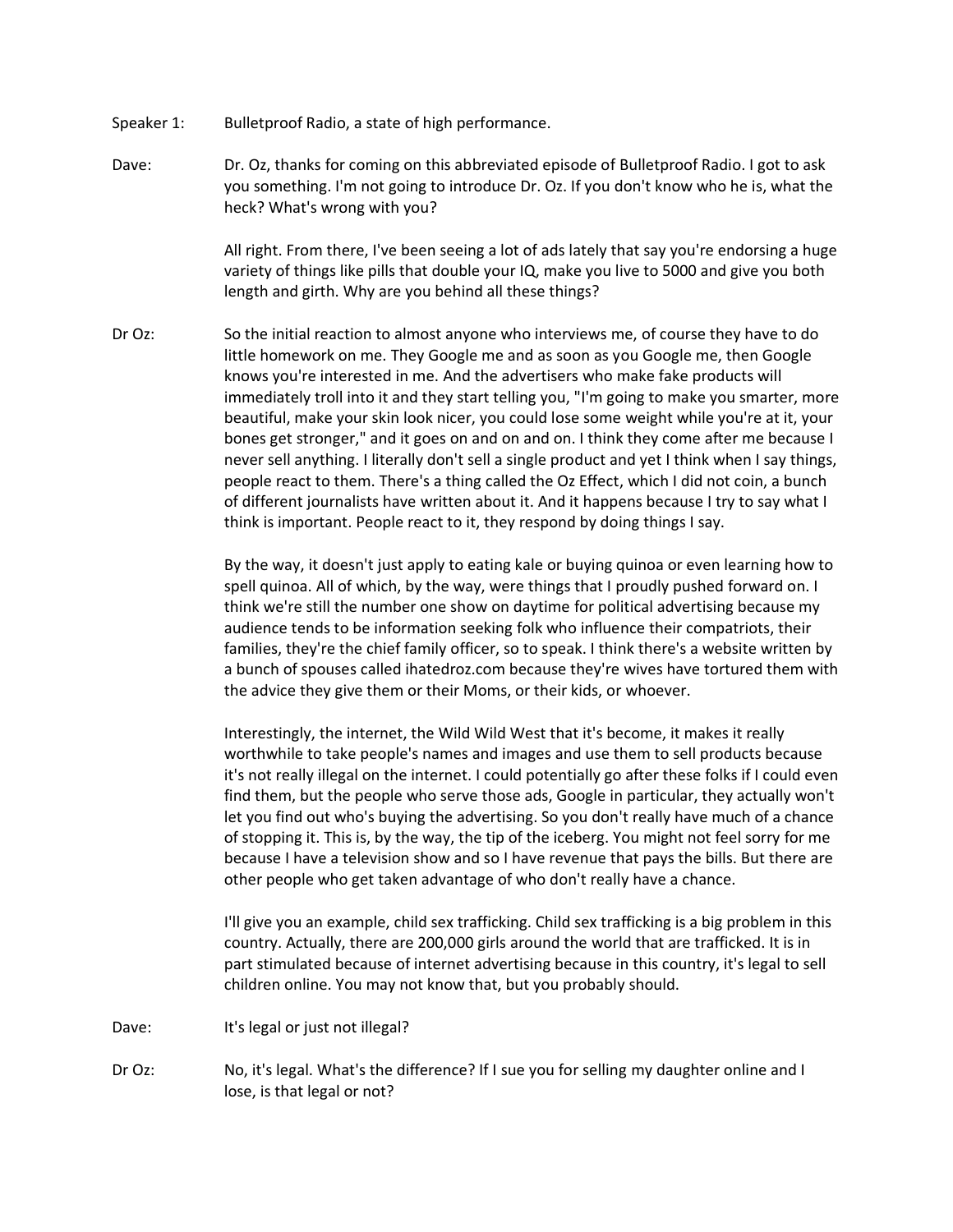- Speaker 1: Bulletproof Radio, a state of high performance.
- Dave: Dr. Oz, thanks for coming on this abbreviated episode of Bulletproof Radio. I got to ask you something. I'm not going to introduce Dr. Oz. If you don't know who he is, what the heck? What's wrong with you?

All right. From there, I've been seeing a lot of ads lately that say you're endorsing a huge variety of things like pills that double your IQ, make you live to 5000 and give you both length and girth. Why are you behind all these things?

Dr Oz: So the initial reaction to almost anyone who interviews me, of course they have to do little homework on me. They Google me and as soon as you Google me, then Google knows you're interested in me. And the advertisers who make fake products will immediately troll into it and they start telling you, "I'm going to make you smarter, more beautiful, make your skin look nicer, you could lose some weight while you're at it, your bones get stronger," and it goes on and on and on. I think they come after me because I never sell anything. I literally don't sell a single product and yet I think when I say things, people react to them. There's a thing called the Oz Effect, which I did not coin, a bunch of different journalists have written about it. And it happens because I try to say what I think is important. People react to it, they respond by doing things I say.

> By the way, it doesn't just apply to eating kale or buying quinoa or even learning how to spell quinoa. All of which, by the way, were things that I proudly pushed forward on. I think we're still the number one show on daytime for political advertising because my audience tends to be information seeking folk who influence their compatriots, their families, they're the chief family officer, so to speak. I think there's a website written by a bunch of spouses called ihatedroz.com because they're wives have tortured them with the advice they give them or their Moms, or their kids, or whoever.

> Interestingly, the internet, the Wild Wild West that it's become, it makes it really worthwhile to take people's names and images and use them to sell products because it's not really illegal on the internet. I could potentially go after these folks if I could even find them, but the people who serve those ads, Google in particular, they actually won't let you find out who's buying the advertising. So you don't really have much of a chance of stopping it. This is, by the way, the tip of the iceberg. You might not feel sorry for me because I have a television show and so I have revenue that pays the bills. But there are other people who get taken advantage of who don't really have a chance.

> I'll give you an example, child sex trafficking. Child sex trafficking is a big problem in this country. Actually, there are 200,000 girls around the world that are trafficked. It is in part stimulated because of internet advertising because in this country, it's legal to sell children online. You may not know that, but you probably should.

- Dave: It's legal or just not illegal?
- Dr Oz: No, it's legal. What's the difference? If I sue you for selling my daughter online and I lose, is that legal or not?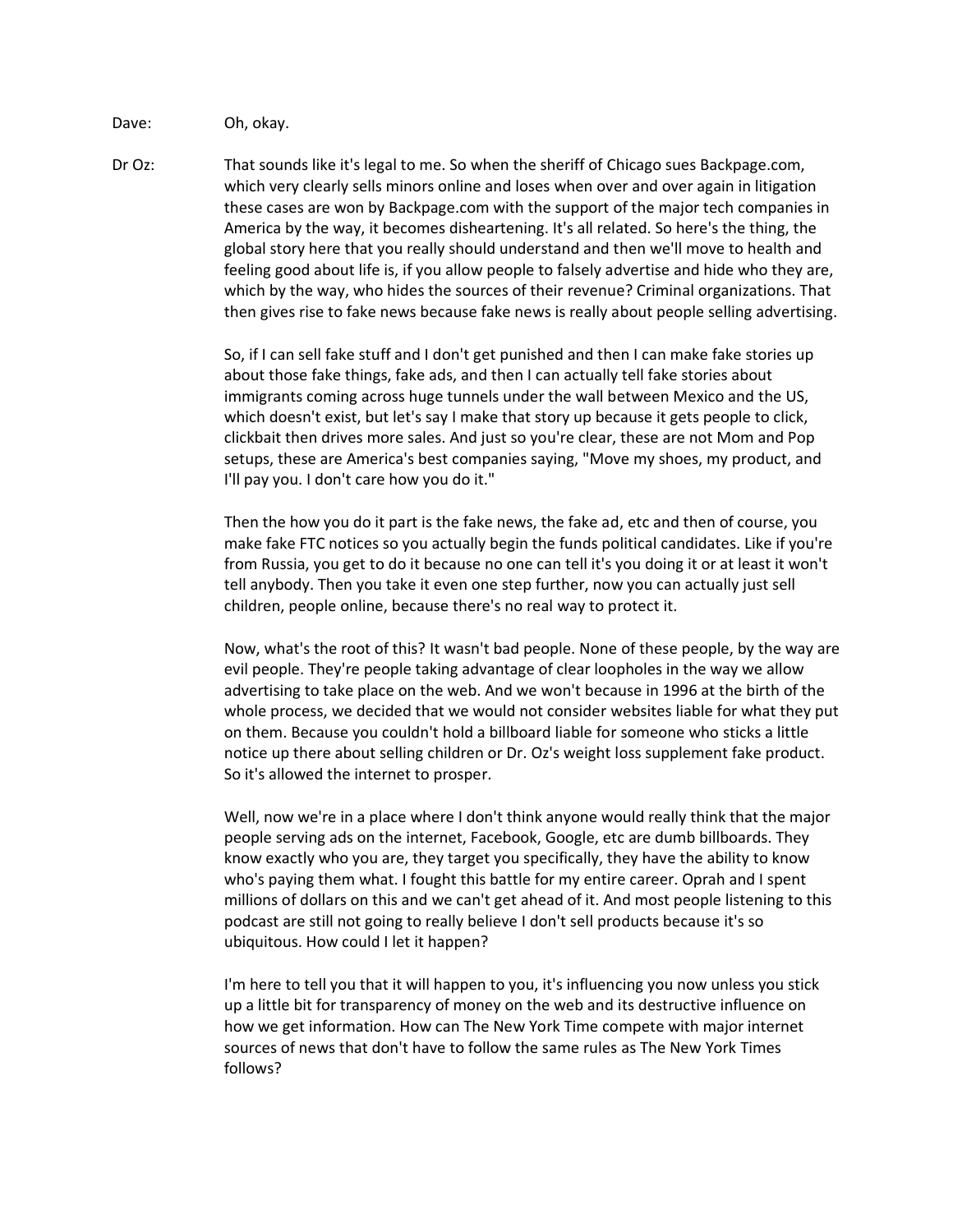Dave: Oh, okay.

Dr Oz: That sounds like it's legal to me. So when the sheriff of Chicago sues Backpage.com, which very clearly sells minors online and loses when over and over again in litigation these cases are won by Backpage.com with the support of the major tech companies in America by the way, it becomes disheartening. It's all related. So here's the thing, the global story here that you really should understand and then we'll move to health and feeling good about life is, if you allow people to falsely advertise and hide who they are, which by the way, who hides the sources of their revenue? Criminal organizations. That then gives rise to fake news because fake news is really about people selling advertising.

> So, if I can sell fake stuff and I don't get punished and then I can make fake stories up about those fake things, fake ads, and then I can actually tell fake stories about immigrants coming across huge tunnels under the wall between Mexico and the US, which doesn't exist, but let's say I make that story up because it gets people to click, clickbait then drives more sales. And just so you're clear, these are not Mom and Pop setups, these are America's best companies saying, "Move my shoes, my product, and I'll pay you. I don't care how you do it."

Then the how you do it part is the fake news, the fake ad, etc and then of course, you make fake FTC notices so you actually begin the funds political candidates. Like if you're from Russia, you get to do it because no one can tell it's you doing it or at least it won't tell anybody. Then you take it even one step further, now you can actually just sell children, people online, because there's no real way to protect it.

Now, what's the root of this? It wasn't bad people. None of these people, by the way are evil people. They're people taking advantage of clear loopholes in the way we allow advertising to take place on the web. And we won't because in 1996 at the birth of the whole process, we decided that we would not consider websites liable for what they put on them. Because you couldn't hold a billboard liable for someone who sticks a little notice up there about selling children or Dr. Oz's weight loss supplement fake product. So it's allowed the internet to prosper.

Well, now we're in a place where I don't think anyone would really think that the major people serving ads on the internet, Facebook, Google, etc are dumb billboards. They know exactly who you are, they target you specifically, they have the ability to know who's paying them what. I fought this battle for my entire career. Oprah and I spent millions of dollars on this and we can't get ahead of it. And most people listening to this podcast are still not going to really believe I don't sell products because it's so ubiquitous. How could I let it happen?

I'm here to tell you that it will happen to you, it's influencing you now unless you stick up a little bit for transparency of money on the web and its destructive influence on how we get information. How can The New York Time compete with major internet sources of news that don't have to follow the same rules as The New York Times follows?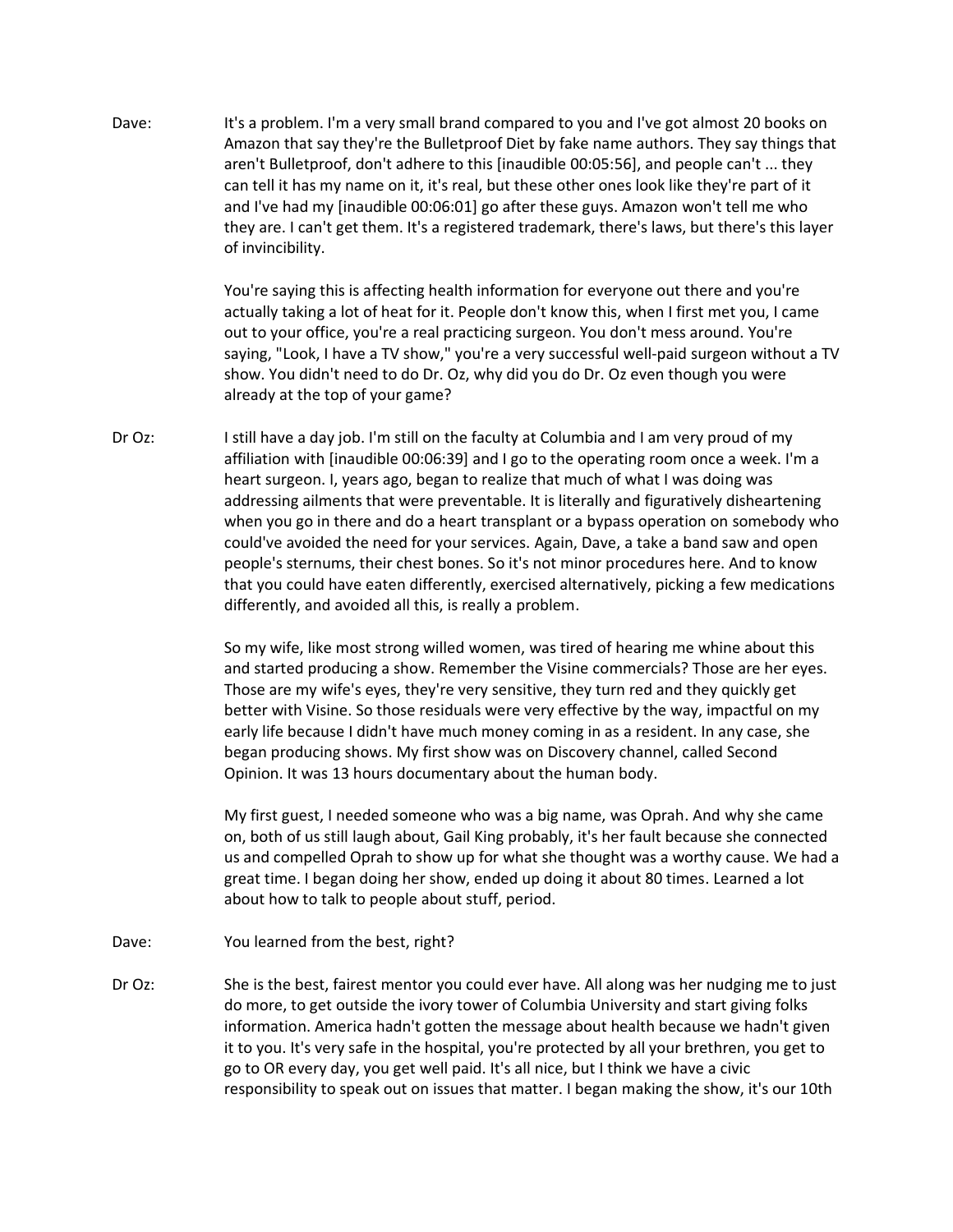Dave: It's a problem. I'm a very small brand compared to you and I've got almost 20 books on Amazon that say they're the Bulletproof Diet by fake name authors. They say things that aren't Bulletproof, don't adhere to this [inaudible 00:05:56], and people can't ... they can tell it has my name on it, it's real, but these other ones look like they're part of it and I've had my [inaudible 00:06:01] go after these guys. Amazon won't tell me who they are. I can't get them. It's a registered trademark, there's laws, but there's this layer of invincibility.

> You're saying this is affecting health information for everyone out there and you're actually taking a lot of heat for it. People don't know this, when I first met you, I came out to your office, you're a real practicing surgeon. You don't mess around. You're saying, "Look, I have a TV show," you're a very successful well-paid surgeon without a TV show. You didn't need to do Dr. Oz, why did you do Dr. Oz even though you were already at the top of your game?

Dr Oz: I still have a day job. I'm still on the faculty at Columbia and I am very proud of my affiliation with [inaudible 00:06:39] and I go to the operating room once a week. I'm a heart surgeon. I, years ago, began to realize that much of what I was doing was addressing ailments that were preventable. It is literally and figuratively disheartening when you go in there and do a heart transplant or a bypass operation on somebody who could've avoided the need for your services. Again, Dave, a take a band saw and open people's sternums, their chest bones. So it's not minor procedures here. And to know that you could have eaten differently, exercised alternatively, picking a few medications differently, and avoided all this, is really a problem.

> So my wife, like most strong willed women, was tired of hearing me whine about this and started producing a show. Remember the Visine commercials? Those are her eyes. Those are my wife's eyes, they're very sensitive, they turn red and they quickly get better with Visine. So those residuals were very effective by the way, impactful on my early life because I didn't have much money coming in as a resident. In any case, she began producing shows. My first show was on Discovery channel, called Second Opinion. It was 13 hours documentary about the human body.

My first guest, I needed someone who was a big name, was Oprah. And why she came on, both of us still laugh about, Gail King probably, it's her fault because she connected us and compelled Oprah to show up for what she thought was a worthy cause. We had a great time. I began doing her show, ended up doing it about 80 times. Learned a lot about how to talk to people about stuff, period.

- Dave: You learned from the best, right?
- Dr Oz: She is the best, fairest mentor you could ever have. All along was her nudging me to just do more, to get outside the ivory tower of Columbia University and start giving folks information. America hadn't gotten the message about health because we hadn't given it to you. It's very safe in the hospital, you're protected by all your brethren, you get to go to OR every day, you get well paid. It's all nice, but I think we have a civic responsibility to speak out on issues that matter. I began making the show, it's our 10th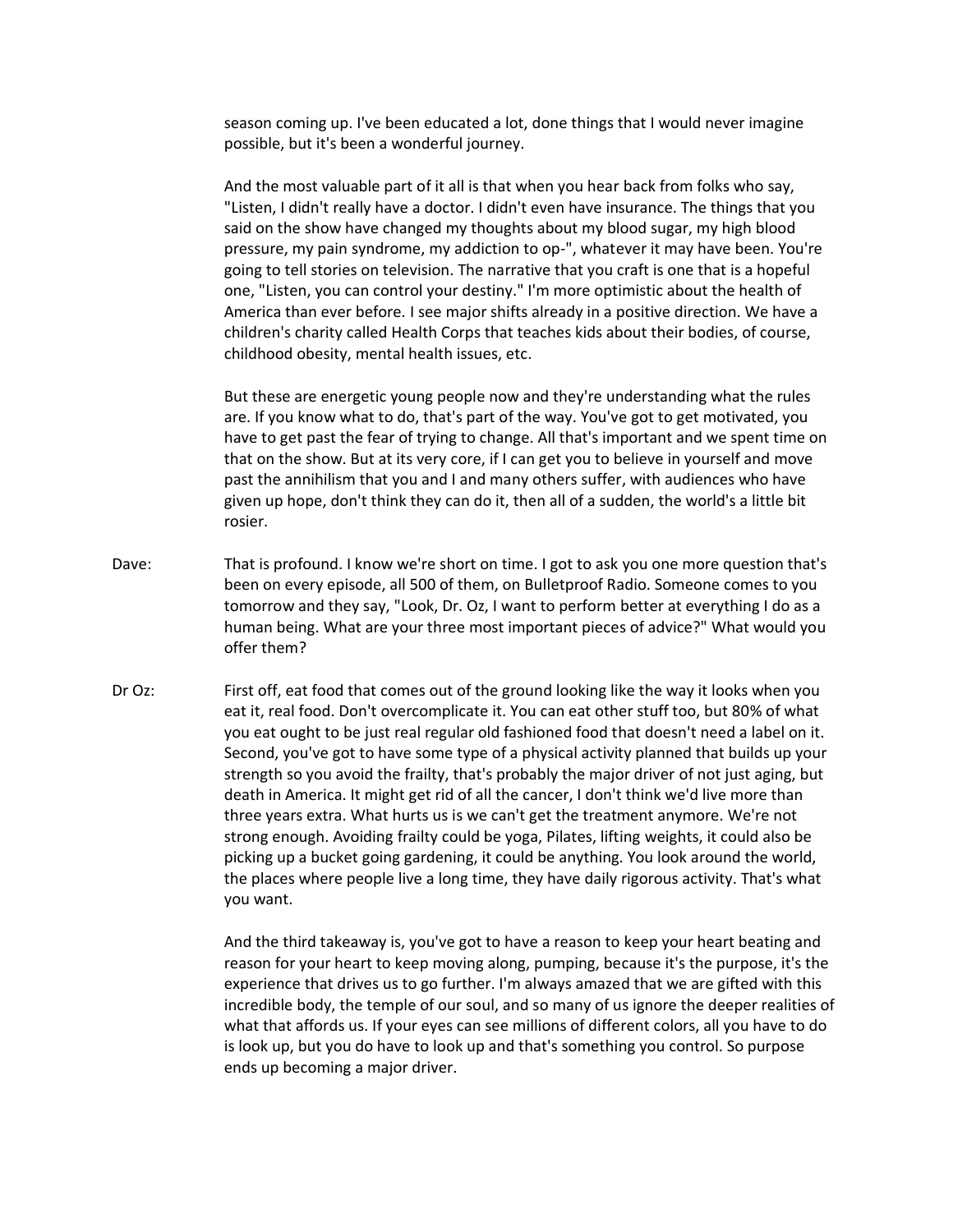season coming up. I've been educated a lot, done things that I would never imagine possible, but it's been a wonderful journey.

And the most valuable part of it all is that when you hear back from folks who say, "Listen, I didn't really have a doctor. I didn't even have insurance. The things that you said on the show have changed my thoughts about my blood sugar, my high blood pressure, my pain syndrome, my addiction to op-", whatever it may have been. You're going to tell stories on television. The narrative that you craft is one that is a hopeful one, "Listen, you can control your destiny." I'm more optimistic about the health of America than ever before. I see major shifts already in a positive direction. We have a children's charity called Health Corps that teaches kids about their bodies, of course, childhood obesity, mental health issues, etc.

But these are energetic young people now and they're understanding what the rules are. If you know what to do, that's part of the way. You've got to get motivated, you have to get past the fear of trying to change. All that's important and we spent time on that on the show. But at its very core, if I can get you to believe in yourself and move past the annihilism that you and I and many others suffer, with audiences who have given up hope, don't think they can do it, then all of a sudden, the world's a little bit rosier.

- Dave: That is profound. I know we're short on time. I got to ask you one more question that's been on every episode, all 500 of them, on Bulletproof Radio. Someone comes to you tomorrow and they say, "Look, Dr. Oz, I want to perform better at everything I do as a human being. What are your three most important pieces of advice?" What would you offer them?
- Dr Oz: First off, eat food that comes out of the ground looking like the way it looks when you eat it, real food. Don't overcomplicate it. You can eat other stuff too, but 80% of what you eat ought to be just real regular old fashioned food that doesn't need a label on it. Second, you've got to have some type of a physical activity planned that builds up your strength so you avoid the frailty, that's probably the major driver of not just aging, but death in America. It might get rid of all the cancer, I don't think we'd live more than three years extra. What hurts us is we can't get the treatment anymore. We're not strong enough. Avoiding frailty could be yoga, Pilates, lifting weights, it could also be picking up a bucket going gardening, it could be anything. You look around the world, the places where people live a long time, they have daily rigorous activity. That's what you want.

And the third takeaway is, you've got to have a reason to keep your heart beating and reason for your heart to keep moving along, pumping, because it's the purpose, it's the experience that drives us to go further. I'm always amazed that we are gifted with this incredible body, the temple of our soul, and so many of us ignore the deeper realities of what that affords us. If your eyes can see millions of different colors, all you have to do is look up, but you do have to look up and that's something you control. So purpose ends up becoming a major driver.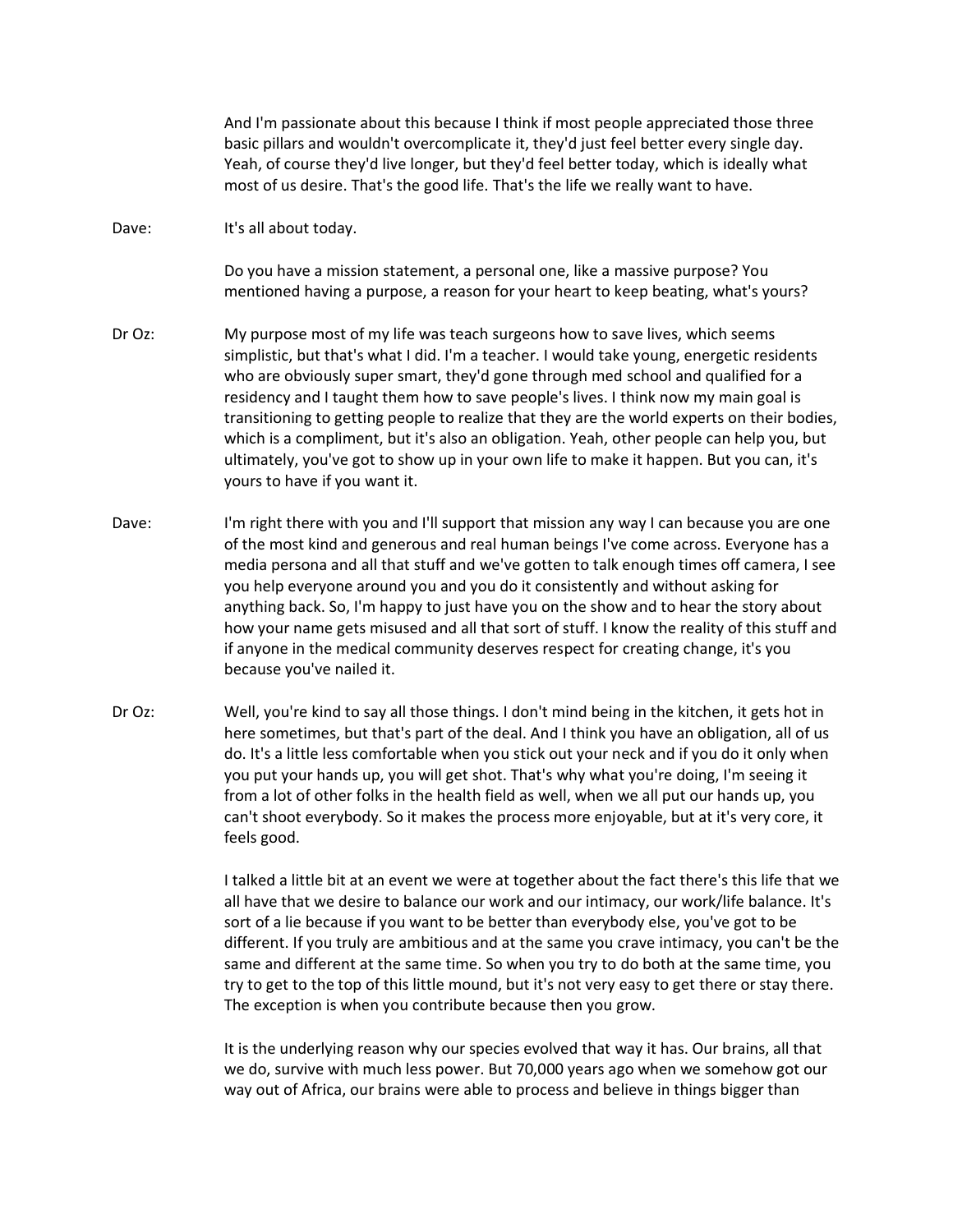And I'm passionate about this because I think if most people appreciated those three basic pillars and wouldn't overcomplicate it, they'd just feel better every single day. Yeah, of course they'd live longer, but they'd feel better today, which is ideally what most of us desire. That's the good life. That's the life we really want to have.

Dave: It's all about today.

Do you have a mission statement, a personal one, like a massive purpose? You mentioned having a purpose, a reason for your heart to keep beating, what's yours?

- Dr Oz: My purpose most of my life was teach surgeons how to save lives, which seems simplistic, but that's what I did. I'm a teacher. I would take young, energetic residents who are obviously super smart, they'd gone through med school and qualified for a residency and I taught them how to save people's lives. I think now my main goal is transitioning to getting people to realize that they are the world experts on their bodies, which is a compliment, but it's also an obligation. Yeah, other people can help you, but ultimately, you've got to show up in your own life to make it happen. But you can, it's yours to have if you want it.
- Dave: I'm right there with you and I'll support that mission any way I can because you are one of the most kind and generous and real human beings I've come across. Everyone has a media persona and all that stuff and we've gotten to talk enough times off camera, I see you help everyone around you and you do it consistently and without asking for anything back. So, I'm happy to just have you on the show and to hear the story about how your name gets misused and all that sort of stuff. I know the reality of this stuff and if anyone in the medical community deserves respect for creating change, it's you because you've nailed it.
- Dr Oz: Well, you're kind to say all those things. I don't mind being in the kitchen, it gets hot in here sometimes, but that's part of the deal. And I think you have an obligation, all of us do. It's a little less comfortable when you stick out your neck and if you do it only when you put your hands up, you will get shot. That's why what you're doing, I'm seeing it from a lot of other folks in the health field as well, when we all put our hands up, you can't shoot everybody. So it makes the process more enjoyable, but at it's very core, it feels good.

I talked a little bit at an event we were at together about the fact there's this life that we all have that we desire to balance our work and our intimacy, our work/life balance. It's sort of a lie because if you want to be better than everybody else, you've got to be different. If you truly are ambitious and at the same you crave intimacy, you can't be the same and different at the same time. So when you try to do both at the same time, you try to get to the top of this little mound, but it's not very easy to get there or stay there. The exception is when you contribute because then you grow.

It is the underlying reason why our species evolved that way it has. Our brains, all that we do, survive with much less power. But 70,000 years ago when we somehow got our way out of Africa, our brains were able to process and believe in things bigger than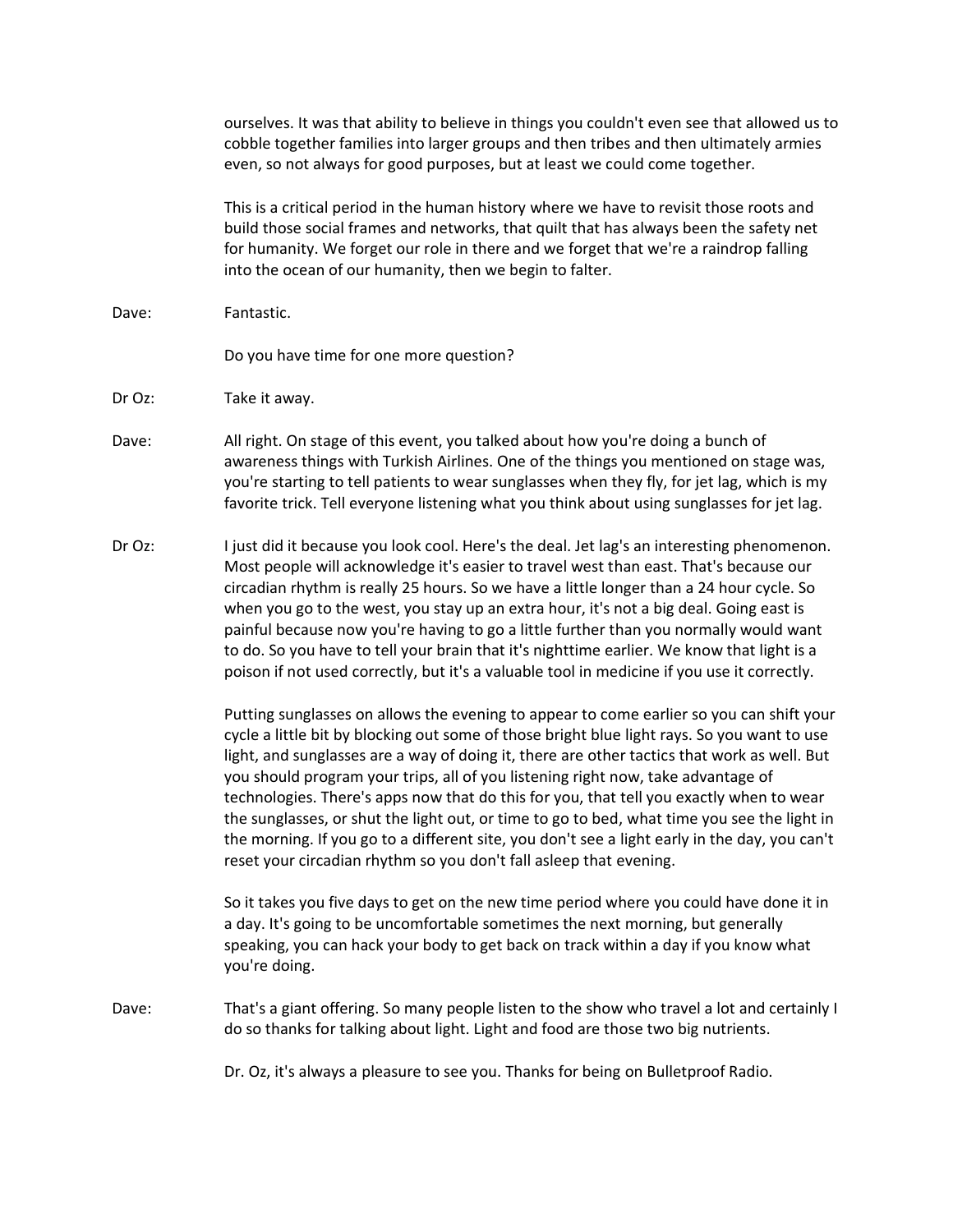ourselves. It was that ability to believe in things you couldn't even see that allowed us to cobble together families into larger groups and then tribes and then ultimately armies even, so not always for good purposes, but at least we could come together.

This is a critical period in the human history where we have to revisit those roots and build those social frames and networks, that quilt that has always been the safety net for humanity. We forget our role in there and we forget that we're a raindrop falling into the ocean of our humanity, then we begin to falter.

Dave: Fantastic.

Do you have time for one more question?

- Dr Oz: Take it away.
- Dave: All right. On stage of this event, you talked about how you're doing a bunch of awareness things with Turkish Airlines. One of the things you mentioned on stage was, you're starting to tell patients to wear sunglasses when they fly, for jet lag, which is my favorite trick. Tell everyone listening what you think about using sunglasses for jet lag.
- Dr Oz: I just did it because you look cool. Here's the deal. Jet lag's an interesting phenomenon. Most people will acknowledge it's easier to travel west than east. That's because our circadian rhythm is really 25 hours. So we have a little longer than a 24 hour cycle. So when you go to the west, you stay up an extra hour, it's not a big deal. Going east is painful because now you're having to go a little further than you normally would want to do. So you have to tell your brain that it's nighttime earlier. We know that light is a poison if not used correctly, but it's a valuable tool in medicine if you use it correctly.

Putting sunglasses on allows the evening to appear to come earlier so you can shift your cycle a little bit by blocking out some of those bright blue light rays. So you want to use light, and sunglasses are a way of doing it, there are other tactics that work as well. But you should program your trips, all of you listening right now, take advantage of technologies. There's apps now that do this for you, that tell you exactly when to wear the sunglasses, or shut the light out, or time to go to bed, what time you see the light in the morning. If you go to a different site, you don't see a light early in the day, you can't reset your circadian rhythm so you don't fall asleep that evening.

So it takes you five days to get on the new time period where you could have done it in a day. It's going to be uncomfortable sometimes the next morning, but generally speaking, you can hack your body to get back on track within a day if you know what you're doing.

Dave: That's a giant offering. So many people listen to the show who travel a lot and certainly I do so thanks for talking about light. Light and food are those two big nutrients.

Dr. Oz, it's always a pleasure to see you. Thanks for being on Bulletproof Radio.